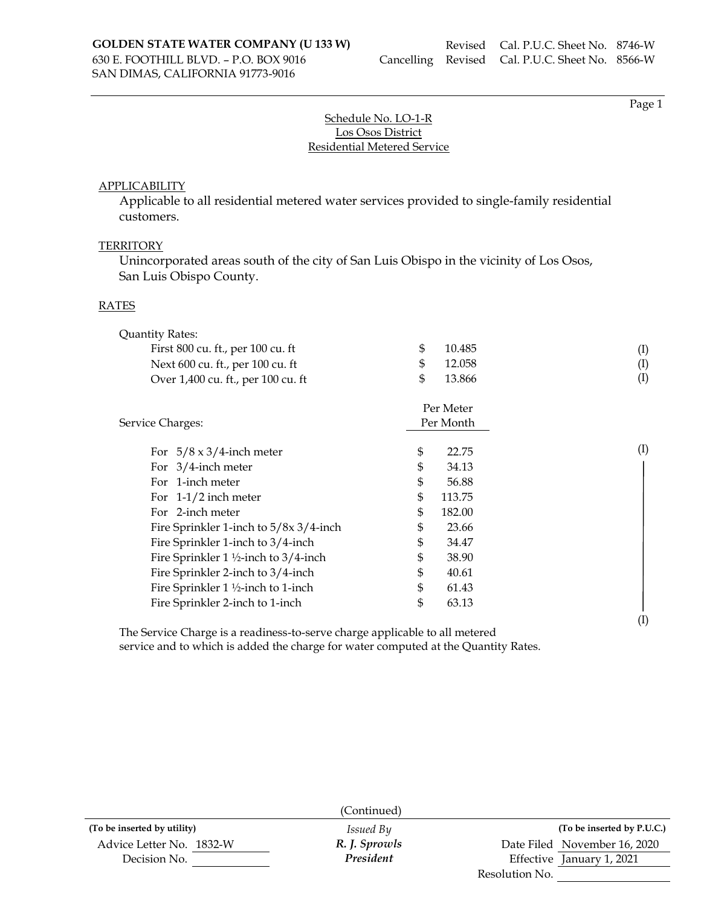SAN DIMAS, CALIFORNIA 91773-9016

Page 1

# Schedule No. LO-1-R Los Osos District Residential Metered Service

### APPLICABILITY

Applicable to all residential metered water services provided to single-family residential customers.

#### **TERRITORY**

Unincorporated areas south of the city of San Luis Obispo in the vicinity of Los Osos, San Luis Obispo County.

### RATES

| <b>Quantity Rates:</b>                           |              |          |
|--------------------------------------------------|--------------|----------|
| First 800 cu. ft., per 100 cu. ft                | \$<br>10.485 | (I)      |
| Next 600 cu. ft., per 100 cu. ft                 | \$<br>12.058 | (I)      |
| Over 1,400 cu. ft., per 100 cu. ft               | \$<br>13.866 | (I)      |
|                                                  | Per Meter    |          |
| Service Charges:                                 | Per Month    |          |
| For $5/8 \times 3/4$ -inch meter                 | \$<br>22.75  | (I)      |
| For $3/4$ -inch meter                            | \$<br>34.13  |          |
| For 1-inch meter                                 | \$<br>56.88  |          |
| For $1-1/2$ inch meter                           | \$<br>113.75 |          |
| For 2-inch meter                                 | \$<br>182.00 |          |
| Fire Sprinkler 1-inch to 5/8x 3/4-inch           | \$<br>23.66  |          |
| Fire Sprinkler 1-inch to 3/4-inch                | \$<br>34.47  |          |
| Fire Sprinkler 1 $\frac{1}{2}$ -inch to 3/4-inch | \$<br>38.90  |          |
| Fire Sprinkler 2-inch to 3/4-inch                | \$<br>40.61  |          |
| Fire Sprinkler 1 1/2-inch to 1-inch              | \$<br>61.43  |          |
| Fire Sprinkler 2-inch to 1-inch                  | \$<br>63.13  |          |
|                                                  |              | $\rm(I)$ |

The Service Charge is a readiness-to-serve charge applicable to all metered service and to which is added the charge for water computed at the Quantity Rates.

|                             | (Continued)      |                              |                            |
|-----------------------------|------------------|------------------------------|----------------------------|
| (To be inserted by utility) | <i>Issued By</i> |                              | (To be inserted by P.U.C.) |
| Advice Letter No. 1832-W    | R. J. Sprowls    | Date Filed November 16, 2020 |                            |
| Decision No.                | President        | Effective January 1, 2021    |                            |
|                             |                  | Resolution No.               |                            |